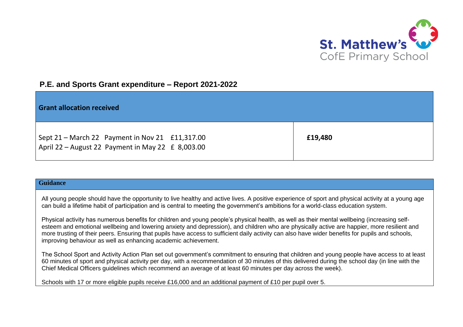

## **P.E. and Sports Grant expenditure – Report 2021-2022**

| <b>Grant allocation received</b>                                                                         |         |
|----------------------------------------------------------------------------------------------------------|---------|
| Sept 21 – March 22 Payment in Nov 21 £11,317.00<br>April 22 - August 22 Payment in May 22 $\pm$ 8,003.00 | £19,480 |

## **Guidance**

All young people should have the opportunity to live healthy and active lives. A positive experience of sport and physical activity at a young age can build a lifetime habit of participation and is central to meeting the government's ambitions for a world-class education system.

Physical activity has numerous benefits for children and young people's physical health, as well as their mental wellbeing (increasing selfesteem and emotional wellbeing and lowering anxiety and depression), and children who are physically active are happier, more resilient and more trusting of their peers. Ensuring that pupils have access to sufficient daily activity can also have wider benefits for pupils and schools, improving behaviour as well as enhancing academic achievement.

The School Sport and Activity Action Plan set out government's commitment to ensuring that children and young people have access to at least 60 minutes of sport and physical activity per day, with a recommendation of 30 minutes of this delivered during the school day (in line with the Chief Medical Officers guidelines which recommend an average of at least 60 minutes per day across the week).

Schools with 17 or more eligible pupils receive £16,000 and an additional payment of £10 per pupil over 5.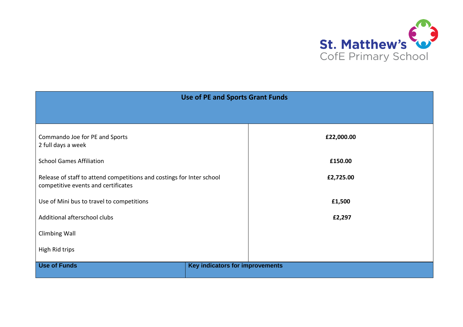

| <b>Use of PE and Sports Grant Funds</b>                               |                                 |            |  |  |
|-----------------------------------------------------------------------|---------------------------------|------------|--|--|
|                                                                       |                                 |            |  |  |
|                                                                       |                                 |            |  |  |
| Commando Joe for PE and Sports                                        |                                 | £22,000.00 |  |  |
| 2 full days a week                                                    |                                 |            |  |  |
| <b>School Games Affiliation</b>                                       |                                 | £150.00    |  |  |
| Release of staff to attend competitions and costings for Inter school |                                 | £2,725.00  |  |  |
| competitive events and certificates                                   |                                 |            |  |  |
| Use of Mini bus to travel to competitions                             |                                 | £1,500     |  |  |
| Additional afterschool clubs                                          |                                 | £2,297     |  |  |
|                                                                       |                                 |            |  |  |
| <b>Climbing Wall</b>                                                  |                                 |            |  |  |
| High Rid trips                                                        |                                 |            |  |  |
| <b>Use of Funds</b>                                                   | Key indicators for improvements |            |  |  |
|                                                                       |                                 |            |  |  |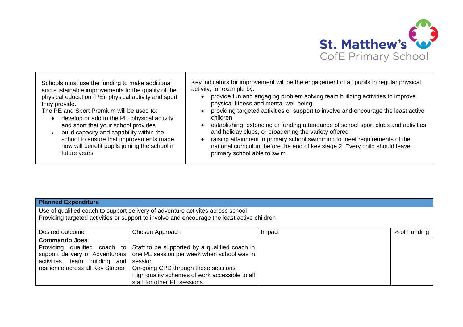

Schools must use the funding to make additional and sustainable improvements to the quality of the physical education (PE), physical activity and sport they provide.

The PE and Sport Premium will be used to:

- develop or add to the PE, physical activity and sport that your school provides
- build capacity and capability within the school to ensure that improvements made now will benefit pupils joining the school in future years

Key indicators for improvement will be the engagement of all pupils in regular physical activity, for example by:

- provide fun and engaging problem solving team building activities to improve physical fitness and mental well being.
- providing targeted activities or support to involve and encourage the least active children
- establishing, extending or funding attendance of school sport clubs and activities and holiday clubs, or broadening the variety offered
- raising attainment in primary school swimming to meet requirements of the national curriculum before the end of key stage 2. Every child should leave primary school able to swim

## **Planned Expenditure**

Use of qualified coach to support delivery of adventure activites across school Providing targeted activities or support to involve and encourage the least active children

| Desired outcome                  | Chosen Approach                                                              | Impact | % of Funding |
|----------------------------------|------------------------------------------------------------------------------|--------|--------------|
| <b>Commando Joes</b>             |                                                                              |        |              |
|                                  | Providing qualified coach to Staff to be supported by a qualified coach in   |        |              |
|                                  | support delivery of Adventurous   one PE session per week when school was in |        |              |
| activities, team building and    | session                                                                      |        |              |
| resilience across all Key Stages | On-going CPD through these sessions                                          |        |              |
|                                  | High quality schemes of work accessible to all                               |        |              |
|                                  | staff for other PE sessions                                                  |        |              |